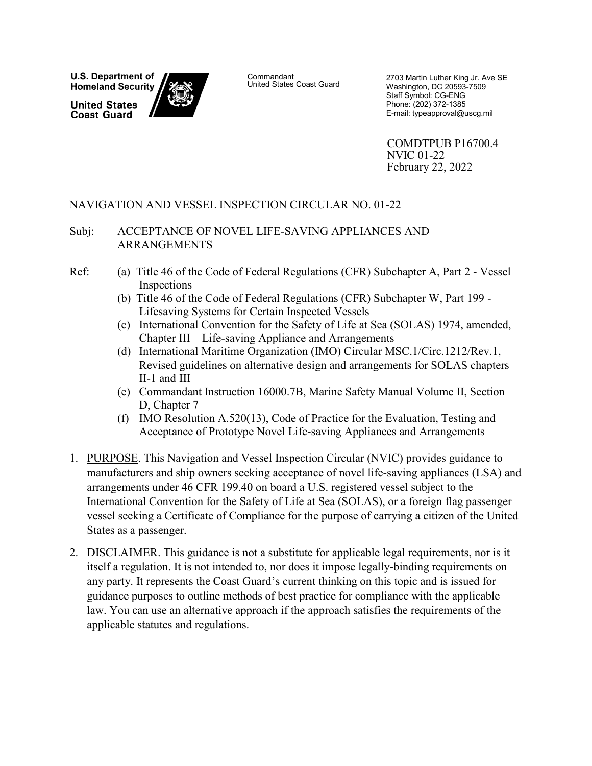**U.S. Department of Homeland Security** 

**United States Coast Guard** 



Commandant<br>United States Coast Guard

2703 Martin Luther King Jr. Ave SE Washington, DC 20593-7509 Staff Symbol: CG-ENG Phone: (202) 372-1385 E-mail: typeapproval@uscg.mil

COMDTPUB P16700.4 NVIC 01-22 February 22, 2022

### NAVIGATION AND VESSEL INSPECTION CIRCULAR NO. 01-22

#### Subj: ACCEPTANCE OF NOVEL LIFE-SAVING APPLIANCES AND ARRANGEMENTS

- Ref: (a) Title 46 of the Code of Federal Regulations (CFR) Subchapter A, Part 2 Vessel Inspections
	- (b) Title 46 of the Code of Federal Regulations (CFR) Subchapter W, Part 199 Lifesaving Systems for Certain Inspected Vessels
	- (c) International Convention for the Safety of Life at Sea (SOLAS) 1974, amended, Chapter III – Life-saving Appliance and Arrangements
	- (d) International Maritime Organization (IMO) Circular MSC.1/Circ.1212/Rev.1, Revised guidelines on alternative design and arrangements for SOLAS chapters II-1 and III
	- (e) Commandant Instruction 16000.7B, Marine Safety Manual Volume II, Section D, Chapter 7
	- (f) IMO Resolution A.520(13), Code of Practice for the Evaluation, Testing and Acceptance of Prototype Novel Life-saving Appliances and Arrangements
- 1. PURPOSE. This Navigation and Vessel Inspection Circular (NVIC) provides guidance to manufacturers and ship owners seeking acceptance of novel life-saving appliances (LSA) and arrangements under 46 CFR 199.40 on board a U.S. registered vessel subject to the International Convention for the Safety of Life at Sea (SOLAS), or a foreign flag passenger vessel seeking a Certificate of Compliance for the purpose of carrying a citizen of the United States as a passenger.
- 2. DISCLAIMER. This guidance is not a substitute for applicable legal requirements, nor is it itself a regulation. It is not intended to, nor does it impose legally-binding requirements on any party. It represents the Coast Guard's current thinking on this topic and is issued for guidance purposes to outline methods of best practice for compliance with the applicable law. You can use an alternative approach if the approach satisfies the requirements of the applicable statutes and regulations.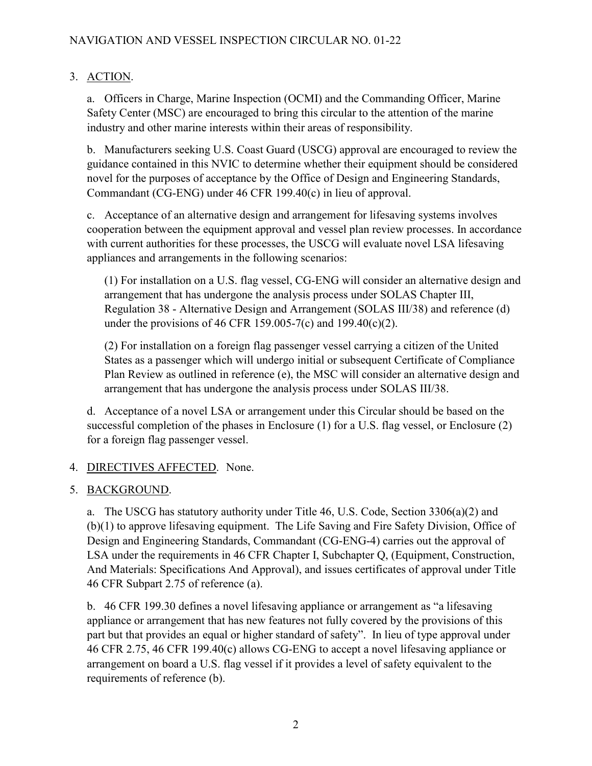# 3. ACTION.

a. Officers in Charge, Marine Inspection (OCMI) and the Commanding Officer, Marine Safety Center (MSC) are encouraged to bring this circular to the attention of the marine industry and other marine interests within their areas of responsibility.

b. Manufacturers seeking U.S. Coast Guard (USCG) approval are encouraged to review the guidance contained in this NVIC to determine whether their equipment should be considered novel for the purposes of acceptance by the Office of Design and Engineering Standards, Commandant (CG-ENG) under 46 CFR 199.40(c) in lieu of approval.

c. Acceptance of an alternative design and arrangement for lifesaving systems involves cooperation between the equipment approval and vessel plan review processes. In accordance with current authorities for these processes, the USCG will evaluate novel LSA lifesaving appliances and arrangements in the following scenarios:

(1) For installation on a U.S. flag vessel, CG-ENG will consider an alternative design and arrangement that has undergone the analysis process under SOLAS Chapter III, Regulation 38 - Alternative Design and Arrangement (SOLAS III/38) and reference (d) under the provisions of 46 CFR 159.005-7(c) and 199.40(c)(2).

(2) For installation on a foreign flag passenger vessel carrying a citizen of the United States as a passenger which will undergo initial or subsequent Certificate of Compliance Plan Review as outlined in reference (e), the MSC will consider an alternative design and arrangement that has undergone the analysis process under SOLAS III/38.

d. Acceptance of a novel LSA or arrangement under this Circular should be based on the successful completion of the phases in Enclosure (1) for a U.S. flag vessel, or Enclosure (2) for a foreign flag passenger vessel.

### 4. DIRECTIVES AFFECTED. None.

### 5. BACKGROUND.

a. The USCG has statutory authority under Title 46, U.S. Code, Section 3306(a)(2) and (b)(1) to approve lifesaving equipment. The Life Saving and Fire Safety Division, Office of Design and Engineering Standards, Commandant (CG-ENG-4) carries out the approval of LSA under the requirements in 46 CFR Chapter I, Subchapter Q, (Equipment, Construction, And Materials: Specifications And Approval), and issues certificates of approval under Title 46 CFR Subpart 2.75 of reference (a).

b. 46 CFR 199.30 defines a novel lifesaving appliance or arrangement as "a lifesaving appliance or arrangement that has new features not fully covered by the provisions of this part but that provides an equal or higher standard of safety". In lieu of type approval under 46 CFR 2.75, 46 CFR 199.40(c) allows CG-ENG to accept a novel lifesaving appliance or arrangement on board a U.S. flag vessel if it provides a level of safety equivalent to the requirements of reference (b).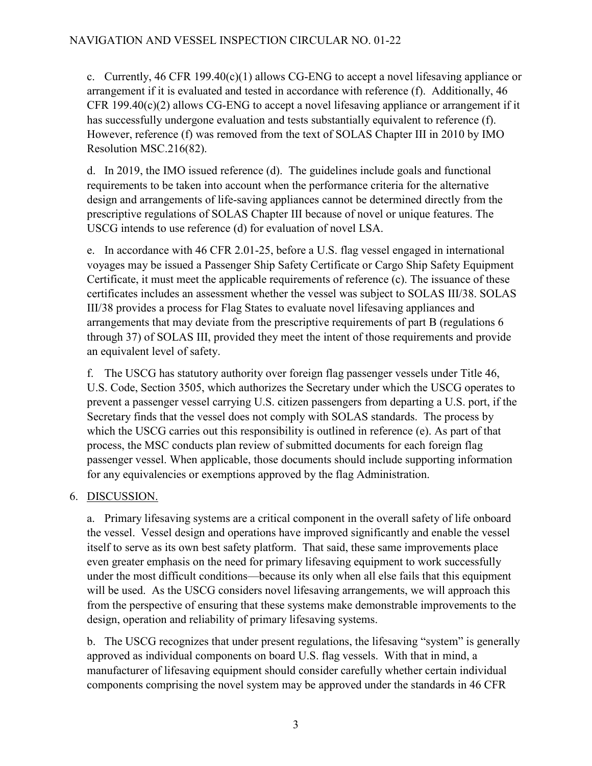c. Currently, 46 CFR 199.40(c)(1) allows CG-ENG to accept a novel lifesaving appliance or arrangement if it is evaluated and tested in accordance with reference (f). Additionally, 46 CFR 199.40(c)(2) allows CG-ENG to accept a novel lifesaving appliance or arrangement if it has successfully undergone evaluation and tests substantially equivalent to reference (f). However, reference (f) was removed from the text of SOLAS Chapter III in 2010 by IMO Resolution MSC.216(82).

d. In 2019, the IMO issued reference (d). The guidelines include goals and functional requirements to be taken into account when the performance criteria for the alternative design and arrangements of life-saving appliances cannot be determined directly from the prescriptive regulations of SOLAS Chapter III because of novel or unique features. The USCG intends to use reference (d) for evaluation of novel LSA.

e. In accordance with 46 CFR 2.01-25, before a U.S. flag vessel engaged in international voyages may be issued a Passenger Ship Safety Certificate or Cargo Ship Safety Equipment Certificate, it must meet the applicable requirements of reference (c). The issuance of these certificates includes an assessment whether the vessel was subject to SOLAS III/38. SOLAS III/38 provides a process for Flag States to evaluate novel lifesaving appliances and arrangements that may deviate from the prescriptive requirements of part B (regulations 6 through 37) of SOLAS III, provided they meet the intent of those requirements and provide an equivalent level of safety.

f. The USCG has statutory authority over foreign flag passenger vessels under Title 46, U.S. Code, Section 3505, which authorizes the Secretary under which the USCG operates to prevent a passenger vessel carrying U.S. citizen passengers from departing a U.S. port, if the Secretary finds that the vessel does not comply with SOLAS standards. The process by which the USCG carries out this responsibility is outlined in reference (e). As part of that process, the MSC conducts plan review of submitted documents for each foreign flag passenger vessel. When applicable, those documents should include supporting information for any equivalencies or exemptions approved by the flag Administration.

# 6. DISCUSSION.

a. Primary lifesaving systems are a critical component in the overall safety of life onboard the vessel. Vessel design and operations have improved significantly and enable the vessel itself to serve as its own best safety platform. That said, these same improvements place even greater emphasis on the need for primary lifesaving equipment to work successfully under the most difficult conditions—because its only when all else fails that this equipment will be used. As the USCG considers novel lifesaving arrangements, we will approach this from the perspective of ensuring that these systems make demonstrable improvements to the design, operation and reliability of primary lifesaving systems.

b. The USCG recognizes that under present regulations, the lifesaving "system" is generally approved as individual components on board U.S. flag vessels. With that in mind, a manufacturer of lifesaving equipment should consider carefully whether certain individual components comprising the novel system may be approved under the standards in 46 CFR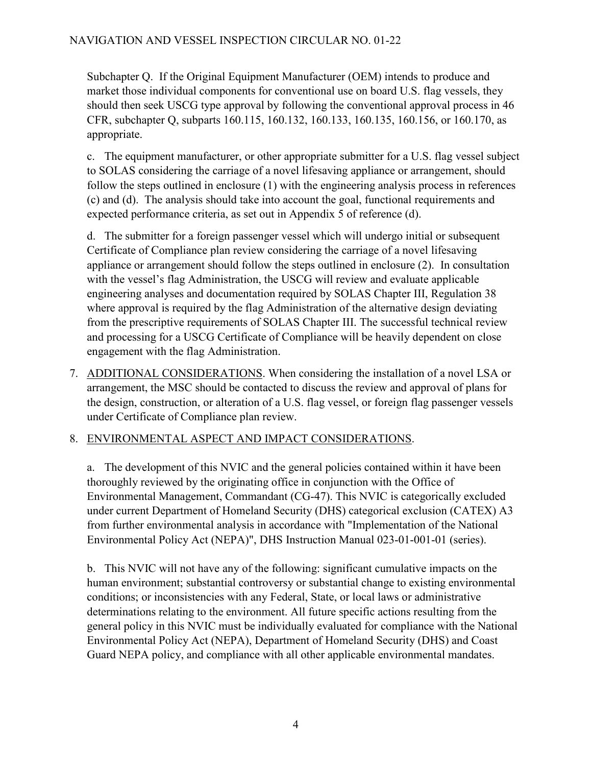Subchapter Q. If the Original Equipment Manufacturer (OEM) intends to produce and market those individual components for conventional use on board U.S. flag vessels, they should then seek USCG type approval by following the conventional approval process in 46 CFR, subchapter Q, subparts 160.115, 160.132, 160.133, 160.135, 160.156, or 160.170, as appropriate.

c. The equipment manufacturer, or other appropriate submitter for a U.S. flag vessel subject to SOLAS considering the carriage of a novel lifesaving appliance or arrangement, should follow the steps outlined in enclosure (1) with the engineering analysis process in references (c) and (d). The analysis should take into account the goal, functional requirements and expected performance criteria, as set out in Appendix 5 of reference (d).

d. The submitter for a foreign passenger vessel which will undergo initial or subsequent Certificate of Compliance plan review considering the carriage of a novel lifesaving appliance or arrangement should follow the steps outlined in enclosure (2). In consultation with the vessel's flag Administration, the USCG will review and evaluate applicable engineering analyses and documentation required by SOLAS Chapter III, Regulation 38 where approval is required by the flag Administration of the alternative design deviating from the prescriptive requirements of SOLAS Chapter III. The successful technical review and processing for a USCG Certificate of Compliance will be heavily dependent on close engagement with the flag Administration.

7. ADDITIONAL CONSIDERATIONS. When considering the installation of a novel LSA or arrangement, the MSC should be contacted to discuss the review and approval of plans for the design, construction, or alteration of a U.S. flag vessel, or foreign flag passenger vessels under Certificate of Compliance plan review.

# 8. ENVIRONMENTAL ASPECT AND IMPACT CONSIDERATIONS.

a. The development of this NVIC and the general policies contained within it have been thoroughly reviewed by the originating office in conjunction with the Office of Environmental Management, Commandant (CG-47). This NVIC is categorically excluded under current Department of Homeland Security (DHS) categorical exclusion (CATEX) A3 from further environmental analysis in accordance with "Implementation of the National Environmental Policy Act (NEPA)", DHS Instruction Manual 023-01-001-01 (series).

b. This NVIC will not have any of the following: significant cumulative impacts on the human environment; substantial controversy or substantial change to existing environmental conditions; or inconsistencies with any Federal, State, or local laws or administrative determinations relating to the environment. All future specific actions resulting from the general policy in this NVIC must be individually evaluated for compliance with the National Environmental Policy Act (NEPA), Department of Homeland Security (DHS) and Coast Guard NEPA policy, and compliance with all other applicable environmental mandates.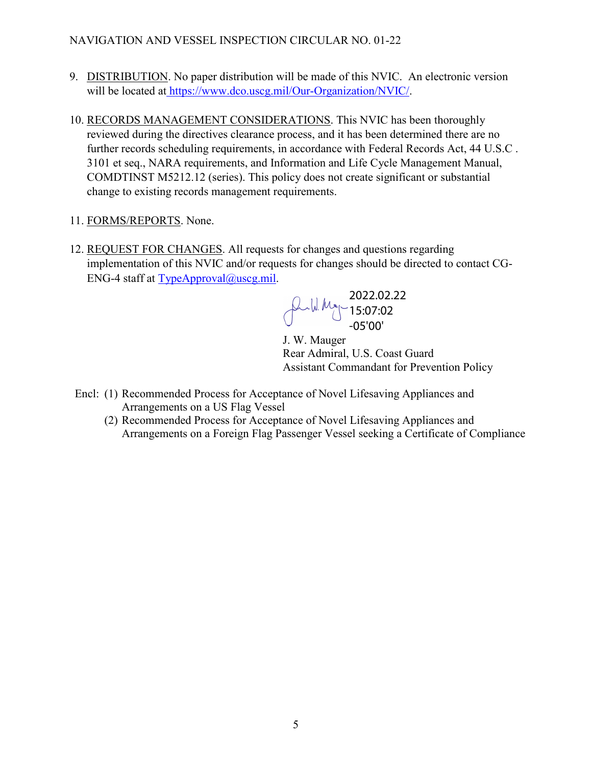- 9. DISTRIBUTION. No paper distribution will be made of this NVIC. An electronic version will be located at [https://www.dco.uscg.mil/Our-Organization/NVIC/.](https://www.dco.uscg.mil/Our-Organization/NVIC/)
- 10. RECORDS MANAGEMENT CONSIDERATIONS. This NVIC has been thoroughly reviewed during the directives clearance process, and it has been determined there are no further records scheduling requirements, in accordance with Federal Records Act, 44 U.S.C . 3101 et seq., NARA requirements, and Information and Life Cycle Management Manual, COMDTINST M5212.12 (series). This policy does not create significant or substantial change to existing records management requirements.
- 11. FORMS/REPORTS. None.
- 12. REQUEST FOR CHANGES. All requests for changes and questions regarding implementation of this NVIC and/or requests for changes should be directed to contact CG-ENG-4 staff at  $TypeAppend@useg.mil$ .

2022.02.22 15:07:02 -05'00'

J. W. Mauger Rear Admiral, U.S. Coast Guard Assistant Commandant for Prevention Policy

- Encl: (1) Recommended Process for Acceptance of Novel Lifesaving Appliances and Arrangements on a US Flag Vessel
	- (2) Recommended Process for Acceptance of Novel Lifesaving Appliances and Arrangements on a Foreign Flag Passenger Vessel seeking a Certificate of Compliance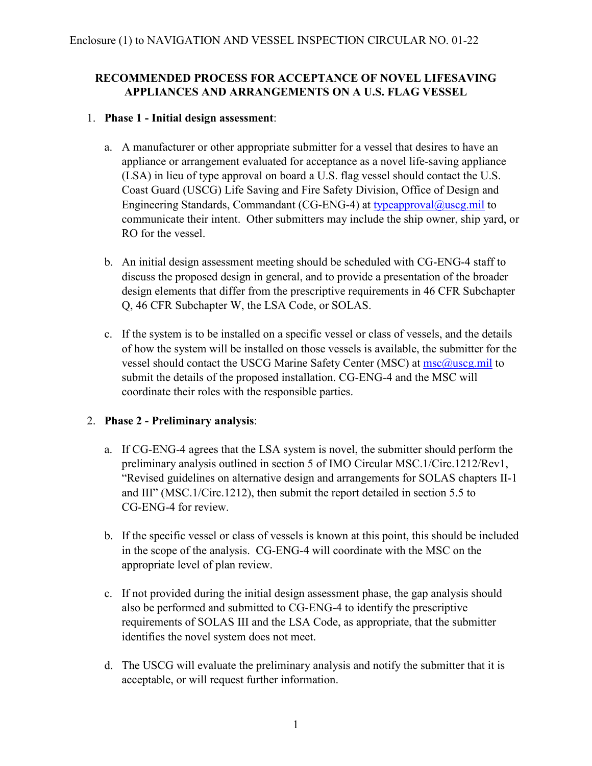### **RECOMMENDED PROCESS FOR ACCEPTANCE OF NOVEL LIFESAVING APPLIANCES AND ARRANGEMENTS ON A U.S. FLAG VESSEL**

### 1. **Phase 1 - Initial design assessment**:

- a. A manufacturer or other appropriate submitter for a vessel that desires to have an appliance or arrangement evaluated for acceptance as a novel life-saving appliance (LSA) in lieu of type approval on board a U.S. flag vessel should contact the U.S. Coast Guard (USCG) Life Saving and Fire Safety Division, Office of Design and Engineering Standards, Commandant (CG-ENG-4) at [typeapproval@uscg.mil](mailto:typeapproval@uscg.mil) to communicate their intent. Other submitters may include the ship owner, ship yard, or RO for the vessel.
- b. An initial design assessment meeting should be scheduled with CG-ENG-4 staff to discuss the proposed design in general, and to provide a presentation of the broader design elements that differ from the prescriptive requirements in 46 CFR Subchapter Q, 46 CFR Subchapter W, the LSA Code, or SOLAS.
- c. If the system is to be installed on a specific vessel or class of vessels, and the details of how the system will be installed on those vessels is available, the submitter for the vessel should contact the USCG Marine Safety Center (MSC) at [msc@uscg.mil](mailto:msc@uscg.mil) to submit the details of the proposed installation. CG-ENG-4 and the MSC will coordinate their roles with the responsible parties.

# 2. **Phase 2 - Preliminary analysis**:

- a. If CG-ENG-4 agrees that the LSA system is novel, the submitter should perform the preliminary analysis outlined in section 5 of IMO Circular MSC.1/Circ.1212/Rev1, "Revised guidelines on alternative design and arrangements for SOLAS chapters II-1 and III" (MSC.1/Circ.1212), then submit the report detailed in section 5.5 to CG-ENG-4 for review.
- b. If the specific vessel or class of vessels is known at this point, this should be included in the scope of the analysis. CG-ENG-4 will coordinate with the MSC on the appropriate level of plan review.
- c. If not provided during the initial design assessment phase, the gap analysis should also be performed and submitted to CG-ENG-4 to identify the prescriptive requirements of SOLAS III and the LSA Code, as appropriate, that the submitter identifies the novel system does not meet.
- d. The USCG will evaluate the preliminary analysis and notify the submitter that it is acceptable, or will request further information.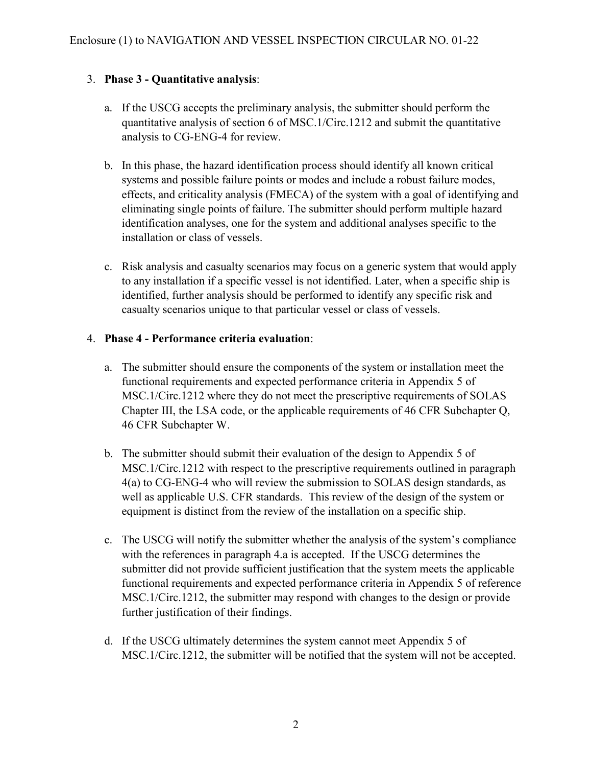# 3. **Phase 3 - Quantitative analysis**:

- a. If the USCG accepts the preliminary analysis, the submitter should perform the quantitative analysis of section 6 of MSC.1/Circ.1212 and submit the quantitative analysis to CG-ENG-4 for review.
- b. In this phase, the hazard identification process should identify all known critical systems and possible failure points or modes and include a robust failure modes, effects, and criticality analysis (FMECA) of the system with a goal of identifying and eliminating single points of failure. The submitter should perform multiple hazard identification analyses, one for the system and additional analyses specific to the installation or class of vessels.
- c. Risk analysis and casualty scenarios may focus on a generic system that would apply to any installation if a specific vessel is not identified. Later, when a specific ship is identified, further analysis should be performed to identify any specific risk and casualty scenarios unique to that particular vessel or class of vessels.

### 4. **Phase 4 - Performance criteria evaluation**:

- a. The submitter should ensure the components of the system or installation meet the functional requirements and expected performance criteria in Appendix 5 of MSC.1/Circ.1212 where they do not meet the prescriptive requirements of SOLAS Chapter III, the LSA code, or the applicable requirements of 46 CFR Subchapter Q, 46 CFR Subchapter W.
- b. The submitter should submit their evaluation of the design to Appendix 5 of MSC.1/Circ.1212 with respect to the prescriptive requirements outlined in paragraph 4(a) to CG-ENG-4 who will review the submission to SOLAS design standards, as well as applicable U.S. CFR standards. This review of the design of the system or equipment is distinct from the review of the installation on a specific ship.
- c. The USCG will notify the submitter whether the analysis of the system's compliance with the references in paragraph 4.a is accepted. If the USCG determines the submitter did not provide sufficient justification that the system meets the applicable functional requirements and expected performance criteria in Appendix 5 of reference MSC.1/Circ.1212, the submitter may respond with changes to the design or provide further justification of their findings.
- d. If the USCG ultimately determines the system cannot meet Appendix 5 of MSC.1/Circ.1212, the submitter will be notified that the system will not be accepted.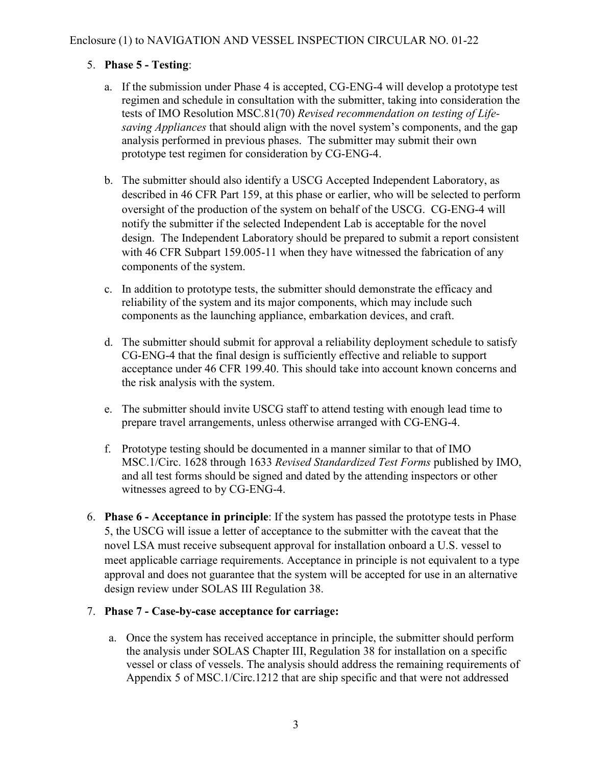# 5. **Phase 5 - Testing**:

- a. If the submission under Phase 4 is accepted, CG-ENG-4 will develop a prototype test regimen and schedule in consultation with the submitter, taking into consideration the tests of IMO Resolution MSC.81(70) *Revised recommendation on testing of Lifesaving Appliances* that should align with the novel system's components, and the gap analysis performed in previous phases. The submitter may submit their own prototype test regimen for consideration by CG-ENG-4.
- b. The submitter should also identify a USCG Accepted Independent Laboratory, as described in 46 CFR Part 159, at this phase or earlier, who will be selected to perform oversight of the production of the system on behalf of the USCG. CG-ENG-4 will notify the submitter if the selected Independent Lab is acceptable for the novel design. The Independent Laboratory should be prepared to submit a report consistent with 46 CFR Subpart 159.005-11 when they have witnessed the fabrication of any components of the system.
- c. In addition to prototype tests, the submitter should demonstrate the efficacy and reliability of the system and its major components, which may include such components as the launching appliance, embarkation devices, and craft.
- d. The submitter should submit for approval a reliability deployment schedule to satisfy CG-ENG-4 that the final design is sufficiently effective and reliable to support acceptance under 46 CFR 199.40. This should take into account known concerns and the risk analysis with the system.
- e. The submitter should invite USCG staff to attend testing with enough lead time to prepare travel arrangements, unless otherwise arranged with CG-ENG-4.
- f. Prototype testing should be documented in a manner similar to that of IMO MSC.1/Circ. 1628 through 1633 *Revised Standardized Test Forms* published by IMO, and all test forms should be signed and dated by the attending inspectors or other witnesses agreed to by CG-ENG-4.
- 6. **Phase 6 - Acceptance in principle**: If the system has passed the prototype tests in Phase 5, the USCG will issue a letter of acceptance to the submitter with the caveat that the novel LSA must receive subsequent approval for installation onboard a U.S. vessel to meet applicable carriage requirements. Acceptance in principle is not equivalent to a type approval and does not guarantee that the system will be accepted for use in an alternative design review under SOLAS III Regulation 38.

# 7. **Phase 7 - Case-by-case acceptance for carriage:**

a. Once the system has received acceptance in principle, the submitter should perform the analysis under SOLAS Chapter III, Regulation 38 for installation on a specific vessel or class of vessels. The analysis should address the remaining requirements of Appendix 5 of MSC.1/Circ.1212 that are ship specific and that were not addressed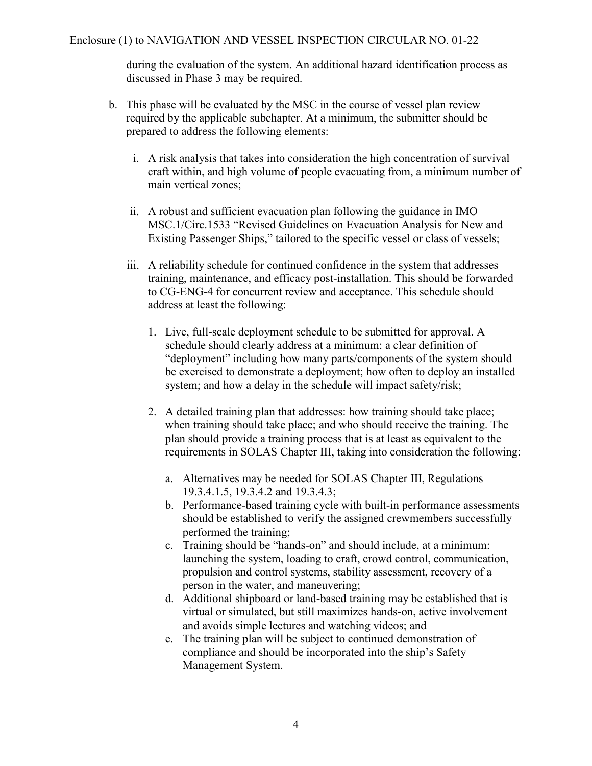during the evaluation of the system. An additional hazard identification process as discussed in Phase 3 may be required.

- b. This phase will be evaluated by the MSC in the course of vessel plan review required by the applicable subchapter. At a minimum, the submitter should be prepared to address the following elements:
	- i. A risk analysis that takes into consideration the high concentration of survival craft within, and high volume of people evacuating from, a minimum number of main vertical zones;
	- ii. A robust and sufficient evacuation plan following the guidance in IMO MSC.1/Circ.1533 "Revised Guidelines on Evacuation Analysis for New and Existing Passenger Ships," tailored to the specific vessel or class of vessels;
	- iii. A reliability schedule for continued confidence in the system that addresses training, maintenance, and efficacy post-installation. This should be forwarded to CG-ENG-4 for concurrent review and acceptance. This schedule should address at least the following:
		- 1. Live, full-scale deployment schedule to be submitted for approval. A schedule should clearly address at a minimum: a clear definition of "deployment" including how many parts/components of the system should be exercised to demonstrate a deployment; how often to deploy an installed system; and how a delay in the schedule will impact safety/risk;
		- 2. A detailed training plan that addresses: how training should take place; when training should take place; and who should receive the training. The plan should provide a training process that is at least as equivalent to the requirements in SOLAS Chapter III, taking into consideration the following:
			- a. Alternatives may be needed for SOLAS Chapter III, Regulations 19.3.4.1.5, 19.3.4.2 and 19.3.4.3;
			- b. Performance-based training cycle with built-in performance assessments should be established to verify the assigned crewmembers successfully performed the training;
			- c. Training should be "hands-on" and should include, at a minimum: launching the system, loading to craft, crowd control, communication, propulsion and control systems, stability assessment, recovery of a person in the water, and maneuvering;
			- d. Additional shipboard or land-based training may be established that is virtual or simulated, but still maximizes hands-on, active involvement and avoids simple lectures and watching videos; and
			- e. The training plan will be subject to continued demonstration of compliance and should be incorporated into the ship's Safety Management System.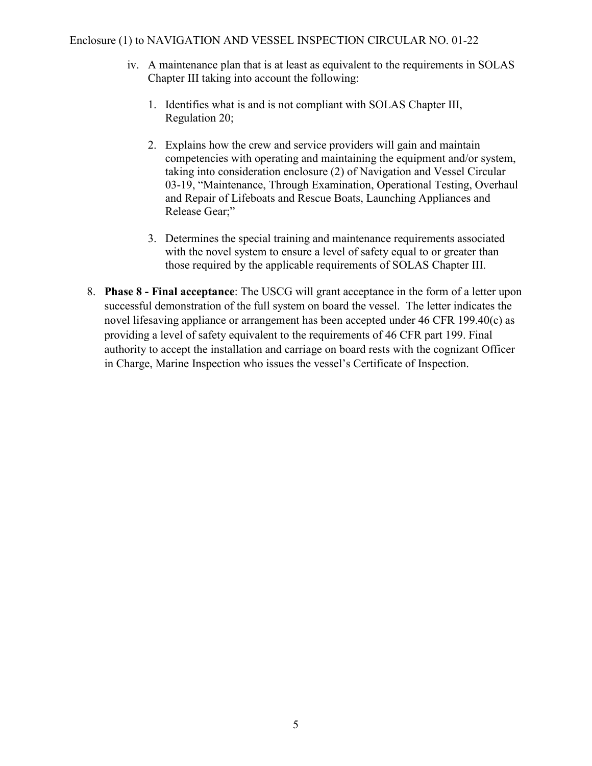#### Enclosure (1) to NAVIGATION AND VESSEL INSPECTION CIRCULAR NO. 01-22

- iv. A maintenance plan that is at least as equivalent to the requirements in SOLAS Chapter III taking into account the following:
	- 1. Identifies what is and is not compliant with SOLAS Chapter III, Regulation 20;
	- 2. Explains how the crew and service providers will gain and maintain competencies with operating and maintaining the equipment and/or system, taking into consideration enclosure (2) of Navigation and Vessel Circular 03-19, "Maintenance, Through Examination, Operational Testing, Overhaul and Repair of Lifeboats and Rescue Boats, Launching Appliances and Release Gear;"
	- 3. Determines the special training and maintenance requirements associated with the novel system to ensure a level of safety equal to or greater than those required by the applicable requirements of SOLAS Chapter III.
- 8. **Phase 8 - Final acceptance**: The USCG will grant acceptance in the form of a letter upon successful demonstration of the full system on board the vessel. The letter indicates the novel lifesaving appliance or arrangement has been accepted under 46 CFR 199.40(c) as providing a level of safety equivalent to the requirements of 46 CFR part 199. Final authority to accept the installation and carriage on board rests with the cognizant Officer in Charge, Marine Inspection who issues the vessel's Certificate of Inspection.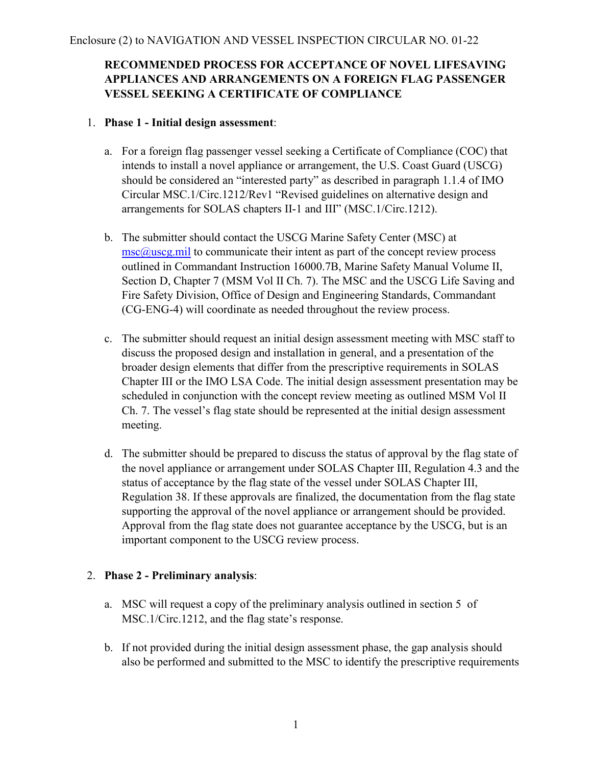# **RECOMMENDED PROCESS FOR ACCEPTANCE OF NOVEL LIFESAVING APPLIANCES AND ARRANGEMENTS ON A FOREIGN FLAG PASSENGER VESSEL SEEKING A CERTIFICATE OF COMPLIANCE**

#### 1. **Phase 1 - Initial design assessment**:

- a. For a foreign flag passenger vessel seeking a Certificate of Compliance (COC) that intends to install a novel appliance or arrangement, the U.S. Coast Guard (USCG) should be considered an "interested party" as described in paragraph 1.1.4 of IMO Circular MSC.1/Circ.1212/Rev1 "Revised guidelines on alternative design and arrangements for SOLAS chapters II-1 and III" (MSC.1/Circ.1212).
- b. The submitter should contact the USCG Marine Safety Center (MSC) at  $\text{msc}(\omega)$ uscg.mil to communicate their intent as part of the concept review process outlined in Commandant Instruction 16000.7B, Marine Safety Manual Volume II, Section D, Chapter 7 (MSM Vol II Ch. 7). The MSC and the USCG Life Saving and Fire Safety Division, Office of Design and Engineering Standards, Commandant (CG-ENG-4) will coordinate as needed throughout the review process.
- c. The submitter should request an initial design assessment meeting with MSC staff to discuss the proposed design and installation in general, and a presentation of the broader design elements that differ from the prescriptive requirements in SOLAS Chapter III or the IMO LSA Code. The initial design assessment presentation may be scheduled in conjunction with the concept review meeting as outlined MSM Vol II Ch. 7. The vessel's flag state should be represented at the initial design assessment meeting.
- d. The submitter should be prepared to discuss the status of approval by the flag state of the novel appliance or arrangement under SOLAS Chapter III, Regulation 4.3 and the status of acceptance by the flag state of the vessel under SOLAS Chapter III, Regulation 38. If these approvals are finalized, the documentation from the flag state supporting the approval of the novel appliance or arrangement should be provided. Approval from the flag state does not guarantee acceptance by the USCG, but is an important component to the USCG review process.

### 2. **Phase 2 - Preliminary analysis**:

- a. MSC will request a copy of the preliminary analysis outlined in section 5 of MSC.1/Circ.1212, and the flag state's response.
- b. If not provided during the initial design assessment phase, the gap analysis should also be performed and submitted to the MSC to identify the prescriptive requirements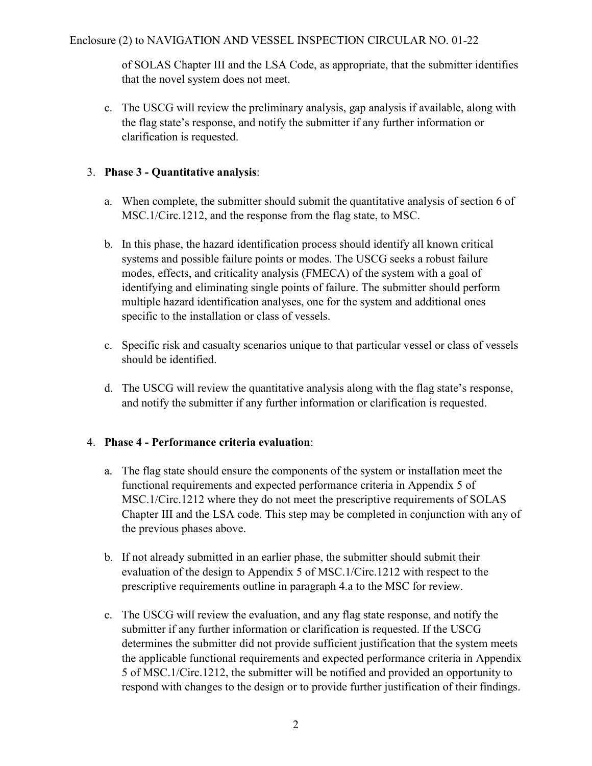of SOLAS Chapter III and the LSA Code, as appropriate, that the submitter identifies that the novel system does not meet.

c. The USCG will review the preliminary analysis, gap analysis if available, along with the flag state's response, and notify the submitter if any further information or clarification is requested.

### 3. **Phase 3 - Quantitative analysis**:

- a. When complete, the submitter should submit the quantitative analysis of section 6 of MSC.1/Circ.1212, and the response from the flag state, to MSC.
- b. In this phase, the hazard identification process should identify all known critical systems and possible failure points or modes. The USCG seeks a robust failure modes, effects, and criticality analysis (FMECA) of the system with a goal of identifying and eliminating single points of failure. The submitter should perform multiple hazard identification analyses, one for the system and additional ones specific to the installation or class of vessels.
- c. Specific risk and casualty scenarios unique to that particular vessel or class of vessels should be identified.
- d. The USCG will review the quantitative analysis along with the flag state's response, and notify the submitter if any further information or clarification is requested.

### 4. **Phase 4 - Performance criteria evaluation**:

- a. The flag state should ensure the components of the system or installation meet the functional requirements and expected performance criteria in Appendix 5 of MSC.1/Circ.1212 where they do not meet the prescriptive requirements of SOLAS Chapter III and the LSA code. This step may be completed in conjunction with any of the previous phases above.
- b. If not already submitted in an earlier phase, the submitter should submit their evaluation of the design to Appendix 5 of MSC.1/Circ.1212 with respect to the prescriptive requirements outline in paragraph 4.a to the MSC for review.
- c. The USCG will review the evaluation, and any flag state response, and notify the submitter if any further information or clarification is requested. If the USCG determines the submitter did not provide sufficient justification that the system meets the applicable functional requirements and expected performance criteria in Appendix 5 of MSC.1/Circ.1212, the submitter will be notified and provided an opportunity to respond with changes to the design or to provide further justification of their findings.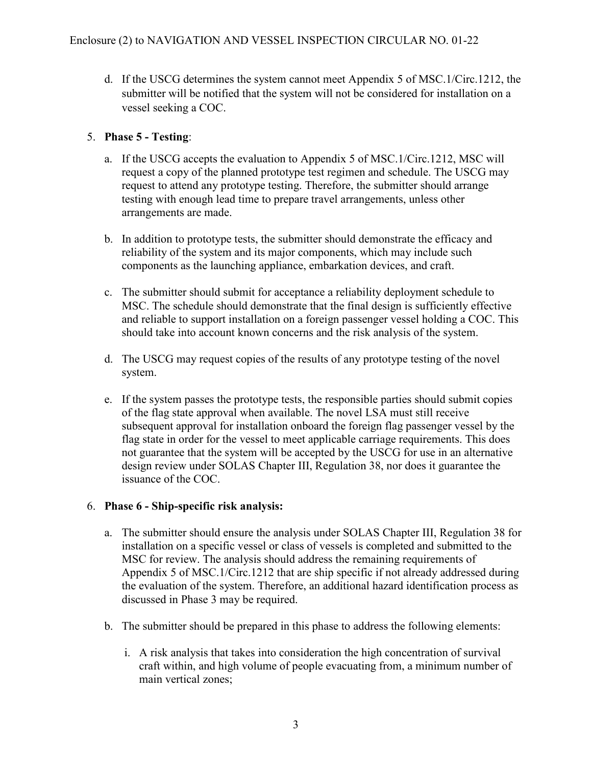d. If the USCG determines the system cannot meet Appendix 5 of MSC.1/Circ.1212, the submitter will be notified that the system will not be considered for installation on a vessel seeking a COC.

### 5. **Phase 5 - Testing**:

- a. If the USCG accepts the evaluation to Appendix 5 of MSC.1/Circ.1212, MSC will request a copy of the planned prototype test regimen and schedule. The USCG may request to attend any prototype testing. Therefore, the submitter should arrange testing with enough lead time to prepare travel arrangements, unless other arrangements are made.
- b. In addition to prototype tests, the submitter should demonstrate the efficacy and reliability of the system and its major components, which may include such components as the launching appliance, embarkation devices, and craft.
- c. The submitter should submit for acceptance a reliability deployment schedule to MSC. The schedule should demonstrate that the final design is sufficiently effective and reliable to support installation on a foreign passenger vessel holding a COC. This should take into account known concerns and the risk analysis of the system.
- d. The USCG may request copies of the results of any prototype testing of the novel system.
- e. If the system passes the prototype tests, the responsible parties should submit copies of the flag state approval when available. The novel LSA must still receive subsequent approval for installation onboard the foreign flag passenger vessel by the flag state in order for the vessel to meet applicable carriage requirements. This does not guarantee that the system will be accepted by the USCG for use in an alternative design review under SOLAS Chapter III, Regulation 38, nor does it guarantee the issuance of the COC.

### 6. **Phase 6 - Ship-specific risk analysis:**

- a. The submitter should ensure the analysis under SOLAS Chapter III, Regulation 38 for installation on a specific vessel or class of vessels is completed and submitted to the MSC for review. The analysis should address the remaining requirements of Appendix 5 of MSC.1/Circ.1212 that are ship specific if not already addressed during the evaluation of the system. Therefore, an additional hazard identification process as discussed in Phase 3 may be required.
- b. The submitter should be prepared in this phase to address the following elements:
	- i. A risk analysis that takes into consideration the high concentration of survival craft within, and high volume of people evacuating from, a minimum number of main vertical zones;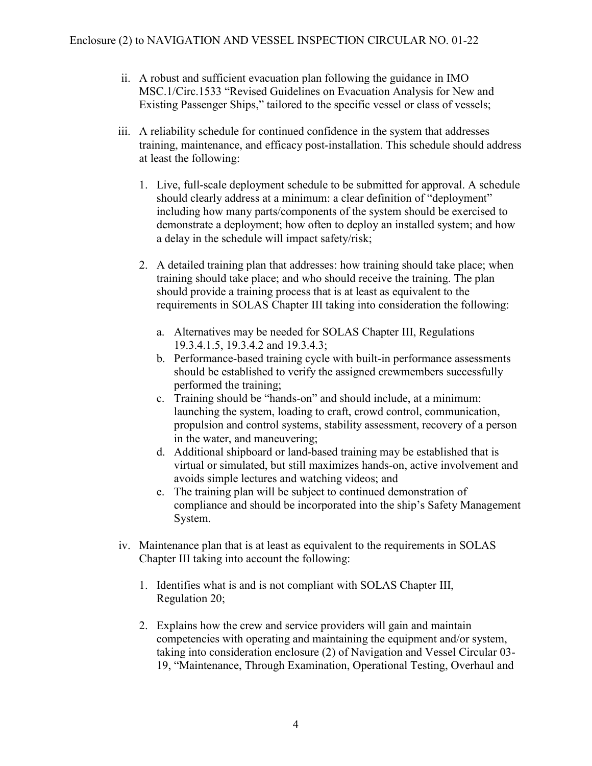- ii. A robust and sufficient evacuation plan following the guidance in IMO MSC.1/Circ.1533 "Revised Guidelines on Evacuation Analysis for New and Existing Passenger Ships," tailored to the specific vessel or class of vessels;
- iii. A reliability schedule for continued confidence in the system that addresses training, maintenance, and efficacy post-installation. This schedule should address at least the following:
	- 1. Live, full-scale deployment schedule to be submitted for approval. A schedule should clearly address at a minimum: a clear definition of "deployment" including how many parts/components of the system should be exercised to demonstrate a deployment; how often to deploy an installed system; and how a delay in the schedule will impact safety/risk;
	- 2. A detailed training plan that addresses: how training should take place; when training should take place; and who should receive the training. The plan should provide a training process that is at least as equivalent to the requirements in SOLAS Chapter III taking into consideration the following:
		- a. Alternatives may be needed for SOLAS Chapter III, Regulations 19.3.4.1.5, 19.3.4.2 and 19.3.4.3;
		- b. Performance-based training cycle with built-in performance assessments should be established to verify the assigned crewmembers successfully performed the training;
		- c. Training should be "hands-on" and should include, at a minimum: launching the system, loading to craft, crowd control, communication, propulsion and control systems, stability assessment, recovery of a person in the water, and maneuvering;
		- d. Additional shipboard or land-based training may be established that is virtual or simulated, but still maximizes hands-on, active involvement and avoids simple lectures and watching videos; and
		- e. The training plan will be subject to continued demonstration of compliance and should be incorporated into the ship's Safety Management System.
- iv. Maintenance plan that is at least as equivalent to the requirements in SOLAS Chapter III taking into account the following:
	- 1. Identifies what is and is not compliant with SOLAS Chapter III, Regulation 20;
	- 2. Explains how the crew and service providers will gain and maintain competencies with operating and maintaining the equipment and/or system, taking into consideration enclosure (2) of Navigation and Vessel Circular 03- 19, "Maintenance, Through Examination, Operational Testing, Overhaul and